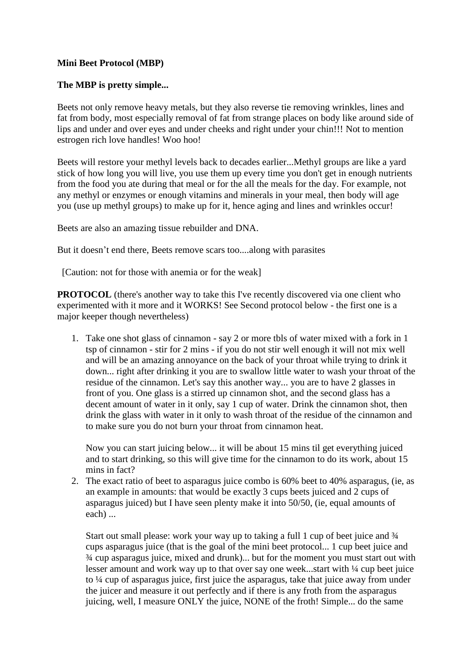## **Mini Beet Protocol (MBP)**

## **The MBP is pretty simple...**

Beets not only remove heavy metals, but they also reverse tie removing wrinkles, lines and fat from body, most especially removal of fat from strange places on body like around side of lips and under and over eyes and under cheeks and right under your chin!!! Not to mention estrogen rich love handles! Woo hoo!

Beets will restore your methyl levels back to decades earlier...Methyl groups are like a yard stick of how long you will live, you use them up every time you don't get in enough nutrients from the food you ate during that meal or for the all the meals for the day. For example, not any methyl or enzymes or enough vitamins and minerals in your meal, then body will age you (use up methyl groups) to make up for it, hence aging and lines and wrinkles occur!

Beets are also an amazing tissue rebuilder and DNA.

But it doesn't end there, Beets remove scars too....along with parasites

[Caution: not for those with anemia or for the weak]

**PROTOCOL** (there's another way to take this I've recently discovered via one client who experimented with it more and it WORKS! See Second protocol below - the first one is a major keeper though nevertheless)

1. Take one shot glass of cinnamon - say 2 or more tbls of water mixed with a fork in 1 tsp of cinnamon - stir for 2 mins - if you do not stir well enough it will not mix well and will be an amazing annoyance on the back of your throat while trying to drink it down... right after drinking it you are to swallow little water to wash your throat of the residue of the cinnamon. Let's say this another way... you are to have 2 glasses in front of you. One glass is a stirred up cinnamon shot, and the second glass has a decent amount of water in it only, say 1 cup of water. Drink the cinnamon shot, then drink the glass with water in it only to wash throat of the residue of the cinnamon and to make sure you do not burn your throat from cinnamon heat.

Now you can start juicing below... it will be about 15 mins til get everything juiced and to start drinking, so this will give time for the cinnamon to do its work, about 15 mins in fact?

2. The exact ratio of beet to asparagus juice combo is 60% beet to 40% asparagus, (ie, as an example in amounts: that would be exactly 3 cups beets juiced and 2 cups of asparagus juiced) but I have seen plenty make it into 50/50, (ie, equal amounts of each) ...

Start out small please: work your way up to taking a full 1 cup of beet juice and  $\frac{3}{4}$ cups asparagus juice (that is the goal of the mini beet protocol... 1 cup beet juice and ¾ cup asparagus juice, mixed and drunk)... but for the moment you must start out with lesser amount and work way up to that over say one week...start with  $\frac{1}{4}$  cup beet juice to ¼ cup of asparagus juice, first juice the asparagus, take that juice away from under the juicer and measure it out perfectly and if there is any froth from the asparagus juicing, well, I measure ONLY the juice, NONE of the froth! Simple... do the same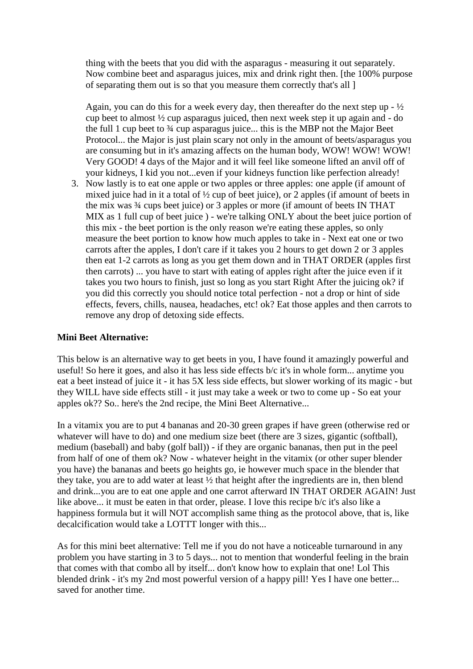thing with the beets that you did with the asparagus - measuring it out separately. Now combine beet and asparagus juices, mix and drink right then. [the 100% purpose of separating them out is so that you measure them correctly that's all ]

Again, you can do this for a week every day, then thereafter do the next step up  $-\frac{1}{2}$ cup beet to almost ½ cup asparagus juiced, then next week step it up again and - do the full 1 cup beet to ¾ cup asparagus juice... this is the MBP not the Major Beet Protocol... the Major is just plain scary not only in the amount of beets/asparagus you are consuming but in it's amazing affects on the human body, WOW! WOW! WOW! Very GOOD! 4 days of the Major and it will feel like someone lifted an anvil off of your kidneys, I kid you not...even if your kidneys function like perfection already!

3. Now lastly is to eat one apple or two apples or three apples: one apple (if amount of mixed juice had in it a total of ½ cup of beet juice), or 2 apples (if amount of beets in the mix was ¾ cups beet juice) or 3 apples or more (if amount of beets IN THAT MIX as 1 full cup of beet juice ) - we're talking ONLY about the beet juice portion of this mix - the beet portion is the only reason we're eating these apples, so only measure the beet portion to know how much apples to take in - Next eat one or two carrots after the apples, I don't care if it takes you 2 hours to get down 2 or 3 apples then eat 1-2 carrots as long as you get them down and in THAT ORDER (apples first then carrots) ... you have to start with eating of apples right after the juice even if it takes you two hours to finish, just so long as you start Right After the juicing ok? if you did this correctly you should notice total perfection - not a drop or hint of side effects, fevers, chills, nausea, headaches, etc! ok? Eat those apples and then carrots to remove any drop of detoxing side effects.

## **Mini Beet Alternative:**

This below is an alternative way to get beets in you, I have found it amazingly powerful and useful! So here it goes, and also it has less side effects b/c it's in whole form... anytime you eat a beet instead of juice it - it has 5X less side effects, but slower working of its magic - but they WILL have side effects still - it just may take a week or two to come up - So eat your apples ok?? So.. here's the 2nd recipe, the Mini Beet Alternative...

In a vitamix you are to put 4 bananas and 20-30 green grapes if have green (otherwise red or whatever will have to do) and one medium size beet (there are 3 sizes, gigantic (softball), medium (baseball) and baby (golf ball)) - if they are organic bananas, then put in the peel from half of one of them ok? Now - whatever height in the vitamix (or other super blender you have) the bananas and beets go heights go, ie however much space in the blender that they take, you are to add water at least ½ that height after the ingredients are in, then blend and drink...you are to eat one apple and one carrot afterward IN THAT ORDER AGAIN! Just like above... it must be eaten in that order, please. I love this recipe b/c it's also like a happiness formula but it will NOT accomplish same thing as the protocol above, that is, like decalcification would take a LOTTT longer with this...

As for this mini beet alternative: Tell me if you do not have a noticeable turnaround in any problem you have starting in 3 to 5 days... not to mention that wonderful feeling in the brain that comes with that combo all by itself... don't know how to explain that one! Lol This blended drink - it's my 2nd most powerful version of a happy pill! Yes I have one better... saved for another time.